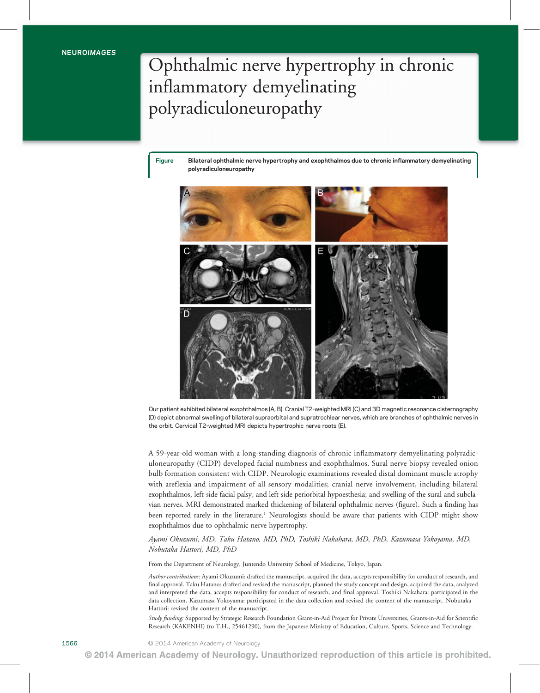## Ophthalmic nerve hypertrophy in chronic inflammatory demyelinating polyradiculoneuropathy

Figure Bilateral ophthalmic nerve hypertrophy and exophthalmos due to chronic inflammatory demyelinating polyradiculoneuropathy



Our patient exhibited bilateral exophthalmos (A, B). Cranial T2-weighted MRI (C) and 3D magnetic resonance cisternography (D) depict abnormal swelling of bilateral supraorbital and supratrochlear nerves, which are branches of ophthalmic nerves in the orbit. Cervical T2-weighted MRI depicts hypertrophic nerve roots (E).

A 59-year-old woman with a long-standing diagnosis of chronic inflammatory demyelinating polyradiculoneuropathy (CIDP) developed facial numbness and exophthalmos. Sural nerve biopsy revealed onion bulb formation consistent with CIDP. Neurologic examinations revealed distal dominant muscle atrophy with areflexia and impairment of all sensory modalities; cranial nerve involvement, including bilateral exophthalmos, left-side facial palsy, and left-side periorbital hypoesthesia; and swelling of the sural and subclavian nerves. MRI demonstrated marked thickening of bilateral ophthalmic nerves (figure). Such a finding has been reported rarely in the literature.<sup>1</sup> Neurologists should be aware that patients with CIDP might show exophthalmos due to ophthalmic nerve hypertrophy.

#### Ayami Okuzumi, MD, Taku Hatano, MD, PhD, Toshiki Nakahara, MD, PhD, Kazumasa Yokoyama, MD, Nobutaka Hattori, MD, PhD

From the Department of Neurology, Juntendo University School of Medicine, Tokyo, Japan.

Author contributions: Ayami Okuzumi: drafted the manuscript, acquired the data, accepts responsibility for conduct of research, and final approval. Taku Hatano: drafted and revised the manuscript, planned the study concept and design, acquired the data, analyzed and interpreted the data, accepts responsibility for conduct of research, and final approval. Toshiki Nakahara: participated in the data collection. Kazumasa Yokoyama: participated in the data collection and revised the content of the manuscript. Nobutaka Hattori: revised the content of the manuscript.

Study funding: Supported by Strategic Research Foundation Grant-in-Aid Project for Private Universities, Grants-in-Aid for Scientific Research (KAKENHI) (to T.H., 25461290), from the Japanese Ministry of Education, Culture, Sports, Science and Technology.

1566 **Carl Communist COM** 2014 American Academy of Neurology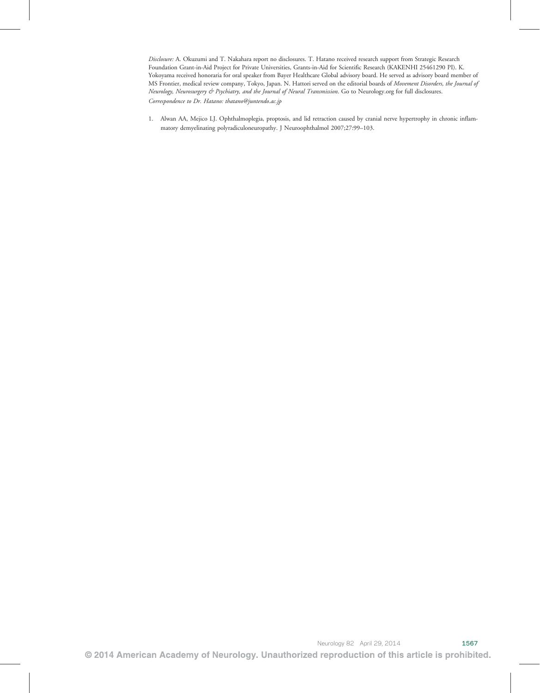Disclosure: A. Okuzumi and T. Nakahara report no disclosures. T. Hatano received research support from Strategic Research Foundation Grant-in-Aid Project for Private Universities, Grants-in-Aid for Scientific Research (KAKENHI 25461290 PI). K. Yokoyama received honoraria for oral speaker from Bayer Healthcare Global advisory board. He served as advisory board member of MS Frontier, medical review company, Tokyo, Japan. N. Hattori served on the editorial boards of Movement Disorders, the Journal of Neurology, Neurosurgery & Psychiatry, and the Journal of Neural Transmission. Go to [Neurology.org](http://neurology.org/) for full disclosures. Correspondence to Dr. Hatano: [thatano@juntendo.ac.jp](mailto:thatano@juntendo.ac.jp)

1. Alwan AA, Mejico LJ. Ophthalmoplegia, proptosis, and lid retraction caused by cranial nerve hypertrophy in chronic inflammatory demyelinating polyradiculoneuropathy. J Neuroophthalmol 2007;27:99–103.